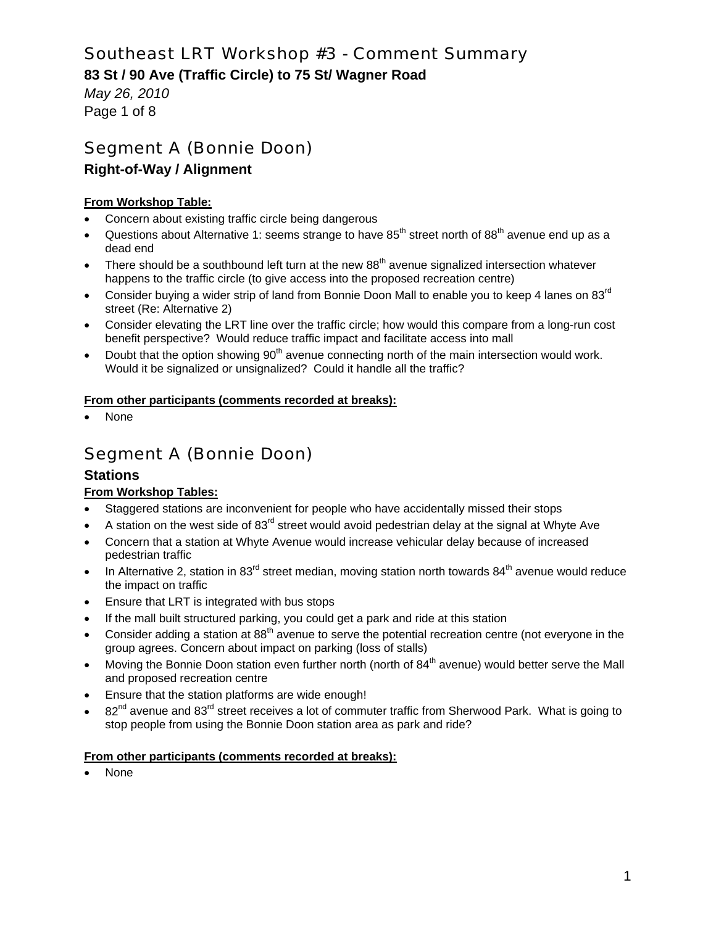## **83 St / 90 Ave (Traffic Circle) to 75 St/ Wagner Road**

*May 26, 2010*  Page 1 of 8

# Segment A (Bonnie Doon)

## **Right-of-Way / Alignment**

### **From Workshop Table:**

- Concern about existing traffic circle being dangerous
- Questions about Alternative 1: seems strange to have  $85<sup>th</sup>$  street north of  $88<sup>th</sup>$  avenue end up as a dead end
- There should be a southbound left turn at the new 88<sup>th</sup> avenue signalized intersection whatever happens to the traffic circle (to give access into the proposed recreation centre)
- Consider buying a wider strip of land from Bonnie Doon Mall to enable you to keep 4 lanes on  $83^{rd}$ street (Re: Alternative 2)
- Consider elevating the LRT line over the traffic circle; how would this compare from a long-run cost benefit perspective? Would reduce traffic impact and facilitate access into mall
- Doubt that the option showing 90<sup>th</sup> avenue connecting north of the main intersection would work. Would it be signalized or unsignalized? Could it handle all the traffic?

#### **From other participants (comments recorded at breaks):**

None

# Segment A (Bonnie Doon)

### **Stations**

### **From Workshop Tables:**

- Staggered stations are inconvenient for people who have accidentally missed their stops
- A station on the west side of 83<sup>rd</sup> street would avoid pedestrian delay at the signal at Whyte Ave
- Concern that a station at Whyte Avenue would increase vehicular delay because of increased pedestrian traffic
- In Alternative 2, station in 83 $^{rd}$  street median, moving station north towards 84<sup>th</sup> avenue would reduce the impact on traffic
- Ensure that LRT is integrated with bus stops
- If the mall built structured parking, you could get a park and ride at this station
- Consider adding a station at  $88<sup>th</sup>$  avenue to serve the potential recreation centre (not everyone in the group agrees. Concern about impact on parking (loss of stalls)
- Moving the Bonnie Doon station even further north (north of  $84<sup>th</sup>$  avenue) would better serve the Mall and proposed recreation centre
- Ensure that the station platforms are wide enough!
- $82<sup>nd</sup>$  avenue and  $83<sup>rd</sup>$  street receives a lot of commuter traffic from Sherwood Park. What is going to stop people from using the Bonnie Doon station area as park and ride?

#### **From other participants (comments recorded at breaks):**

None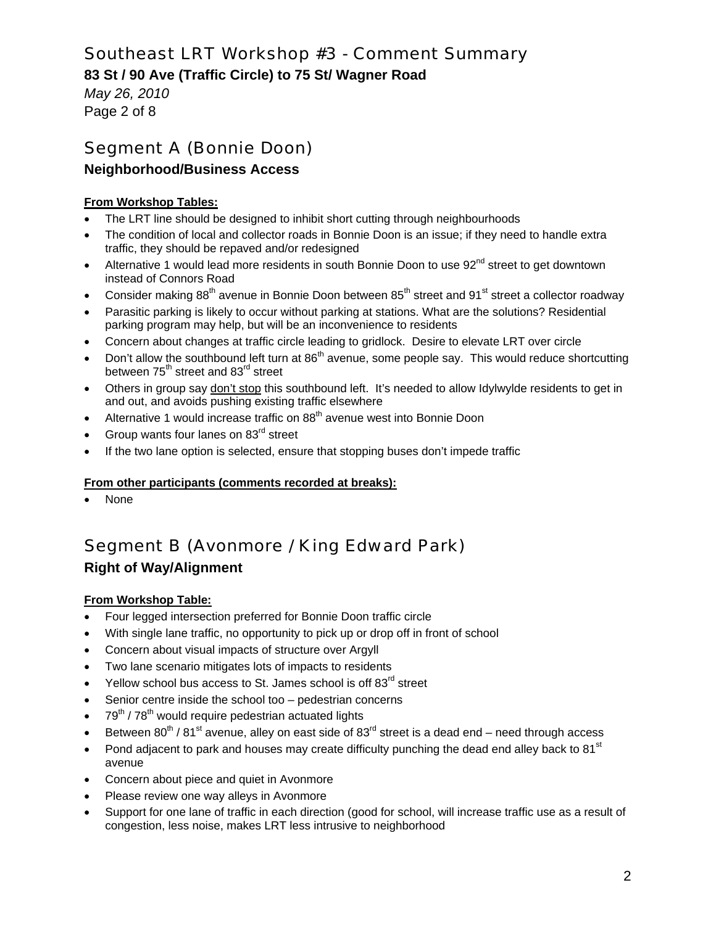**83 St / 90 Ave (Traffic Circle) to 75 St/ Wagner Road** 

*May 26, 2010*  Page 2 of 8

# Segment A (Bonnie Doon)

## **Neighborhood/Business Access**

### **From Workshop Tables:**

- The LRT line should be designed to inhibit short cutting through neighbourhoods
- The condition of local and collector roads in Bonnie Doon is an issue; if they need to handle extra traffic, they should be repaved and/or redesigned
- Alternative 1 would lead more residents in south Bonnie Doon to use 92<sup>nd</sup> street to get downtown instead of Connors Road
- Consider making  $88<sup>th</sup>$  avenue in Bonnie Doon between  $85<sup>th</sup>$  street and  $91<sup>st</sup>$  street a collector roadway
- Parasitic parking is likely to occur without parking at stations. What are the solutions? Residential parking program may help, but will be an inconvenience to residents
- Concern about changes at traffic circle leading to gridlock. Desire to elevate LRT over circle
- Don't allow the southbound left turn at 86<sup>th</sup> avenue, some people say. This would reduce shortcutting between  $75<sup>th</sup>$  street and  $83<sup>rd</sup>$  street
- Others in group say don't stop this southbound left. It's needed to allow Idylwylde residents to get in and out, and avoids pushing existing traffic elsewhere
- Alternative 1 would increase traffic on 88<sup>th</sup> avenue west into Bonnie Doon
- Group wants four lanes on 83<sup>rd</sup> street
- If the two lane option is selected, ensure that stopping buses don't impede traffic

#### **From other participants (comments recorded at breaks):**

None

# Segment B (Avonmore / King Edward Park)

# **Right of Way/Alignment**

#### **From Workshop Table:**

- Four legged intersection preferred for Bonnie Doon traffic circle
- With single lane traffic, no opportunity to pick up or drop off in front of school
- Concern about visual impacts of structure over Argyll
- Two lane scenario mitigates lots of impacts to residents
- Yellow school bus access to St. James school is off 83<sup>rd</sup> street
- Senior centre inside the school too pedestrian concerns
- $79<sup>th</sup>$  /  $78<sup>th</sup>$  would require pedestrian actuated lights
- Between  $80^{th}$  /  $81^{st}$  avenue, alley on east side of  $83^{rd}$  street is a dead end need through access
- Pond adjacent to park and houses may create difficulty punching the dead end alley back to 81 $^{\rm st}$ avenue
- Concern about piece and quiet in Avonmore
- Please review one way alleys in Avonmore
- Support for one lane of traffic in each direction (good for school, will increase traffic use as a result of congestion, less noise, makes LRT less intrusive to neighborhood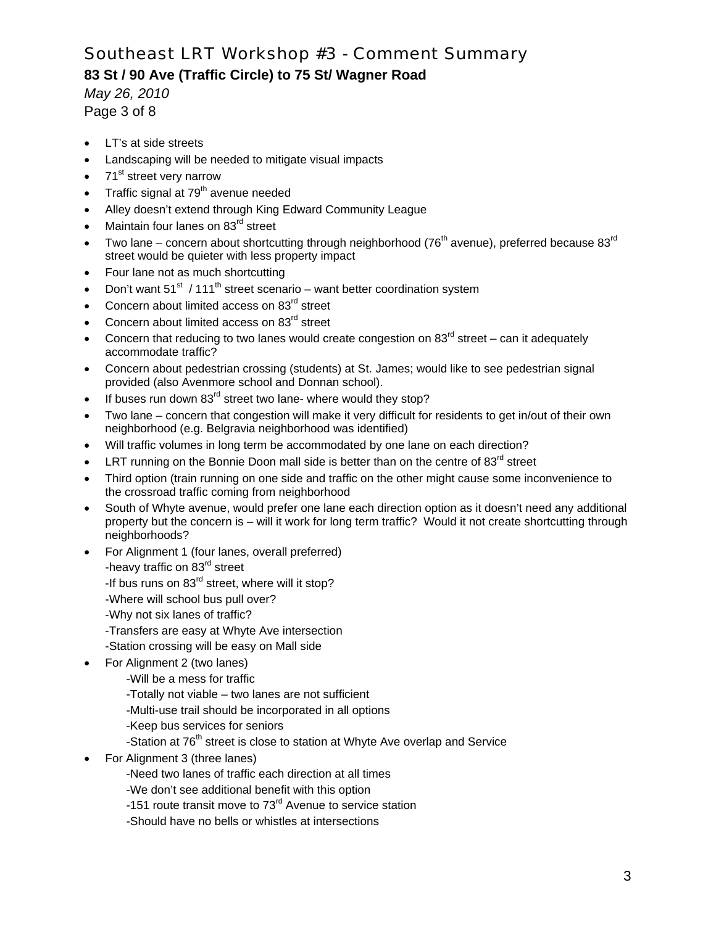## **83 St / 90 Ave (Traffic Circle) to 75 St/ Wagner Road**

*May 26, 2010*  Page 3 of 8

- LT's at side streets
- Landscaping will be needed to mitigate visual impacts
- 71<sup>st</sup> street very narrow
- Traffic signal at 79<sup>th</sup> avenue needed
- Alley doesn't extend through King Edward Community League
- Maintain four lanes on 83rd street
- Two lane concern about shortcutting through neighborhood (76<sup>th</sup> avenue), preferred because 83<sup>rd</sup> street would be quieter with less property impact
- Four lane not as much shortcutting
- Don't want  $51^{st}$  / 111<sup>th</sup> street scenario want better coordination system
- Concern about limited access on 83<sup>rd</sup> street
- Concern about limited access on 83<sup>rd</sup> street
- Concern that reducing to two lanes would create congestion on  $83<sup>rd</sup>$  street can it adequately accommodate traffic?
- Concern about pedestrian crossing (students) at St. James; would like to see pedestrian signal provided (also Avenmore school and Donnan school).
- If buses run down 83<sup>rd</sup> street two lane- where would they stop?
- Two lane concern that congestion will make it very difficult for residents to get in/out of their own neighborhood (e.g. Belgravia neighborhood was identified)
- Will traffic volumes in long term be accommodated by one lane on each direction?
- LRT running on the Bonnie Doon mall side is better than on the centre of  $83<sup>rd</sup>$  street
- Third option (train running on one side and traffic on the other might cause some inconvenience to the crossroad traffic coming from neighborhood
- South of Whyte avenue, would prefer one lane each direction option as it doesn't need any additional property but the concern is – will it work for long term traffic? Would it not create shortcutting through neighborhoods?
- For Alignment 1 (four lanes, overall preferred) -heavy traffic on 83<sup>rd</sup> street
	-
	- -If bus runs on 83<sup>rd</sup> street, where will it stop?
	- -Where will school bus pull over?
	- -Why not six lanes of traffic?
	- -Transfers are easy at Whyte Ave intersection
	- -Station crossing will be easy on Mall side
- For Alignment 2 (two lanes)
	- -Will be a mess for traffic
	- -Totally not viable two lanes are not sufficient
	- -Multi-use trail should be incorporated in all options
	- -Keep bus services for seniors
	- -Station at 76<sup>th</sup> street is close to station at Whyte Ave overlap and Service
- For Alignment 3 (three lanes)
	- -Need two lanes of traffic each direction at all times
	- -We don't see additional benefit with this option
	- -151 route transit move to 73<sup>rd</sup> Avenue to service station
	- -Should have no bells or whistles at intersections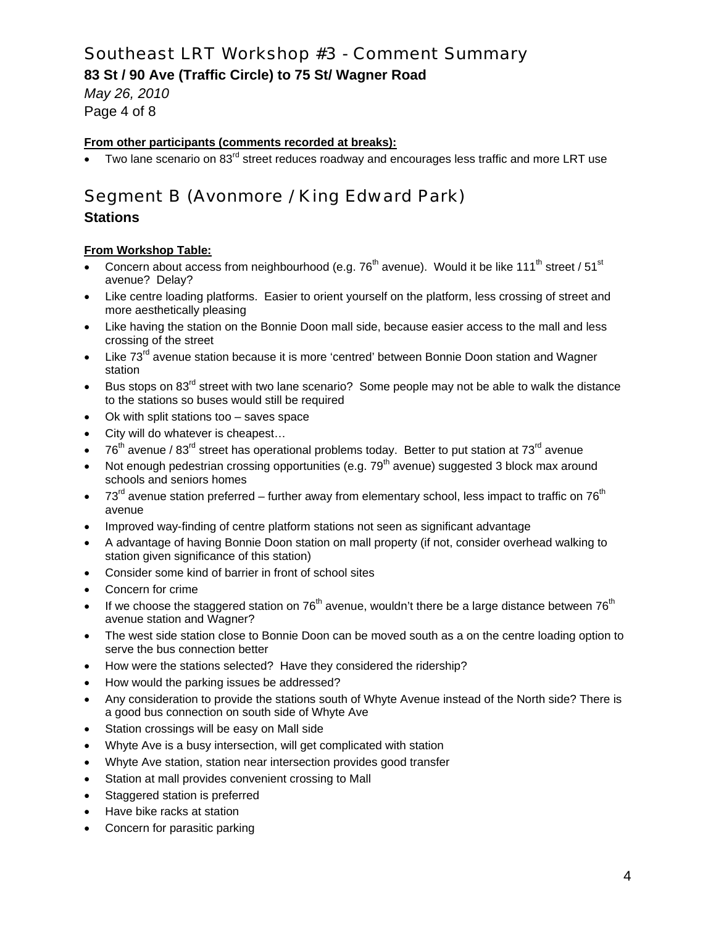**83 St / 90 Ave (Traffic Circle) to 75 St/ Wagner Road** 

*May 26, 2010*  Page 4 of 8

#### **From other participants (comments recorded at breaks):**

Two lane scenario on 83<sup>rd</sup> street reduces roadway and encourages less traffic and more LRT use

# Segment B (Avonmore / King Edward Park)

## **Stations**

#### **From Workshop Table:**

- Concern about access from neighbourhood (e.g.  $76<sup>th</sup>$  avenue). Would it be like 111<sup>th</sup> street / 51<sup>st</sup> avenue? Delay?
- Like centre loading platforms. Easier to orient yourself on the platform, less crossing of street and more aesthetically pleasing
- Like having the station on the Bonnie Doon mall side, because easier access to the mall and less crossing of the street
- Like  $73<sup>rd</sup>$  avenue station because it is more 'centred' between Bonnie Doon station and Wagner station
- Bus stops on 83<sup>rd</sup> street with two lane scenario? Some people may not be able to walk the distance to the stations so buses would still be required
- Ok with split stations too saves space
- City will do whatever is cheapest…
- $76<sup>th</sup>$  avenue / 83<sup>rd</sup> street has operational problems today. Better to put station at 73<sup>rd</sup> avenue
- Not enough pedestrian crossing opportunities (e.g.  $79<sup>th</sup>$  avenue) suggested 3 block max around schools and seniors homes
- $73<sup>rd</sup>$  avenue station preferred further away from elementary school, less impact to traffic on  $76<sup>th</sup>$ avenue
- Improved way-finding of centre platform stations not seen as significant advantage
- A advantage of having Bonnie Doon station on mall property (if not, consider overhead walking to station given significance of this station)
- Consider some kind of barrier in front of school sites
- Concern for crime
- If we choose the staggered station on  $76<sup>th</sup>$  avenue, wouldn't there be a large distance between  $76<sup>th</sup>$ avenue station and Wagner?
- The west side station close to Bonnie Doon can be moved south as a on the centre loading option to serve the bus connection better
- How were the stations selected? Have they considered the ridership?
- How would the parking issues be addressed?
- Any consideration to provide the stations south of Whyte Avenue instead of the North side? There is a good bus connection on south side of Whyte Ave
- Station crossings will be easy on Mall side
- Whyte Ave is a busy intersection, will get complicated with station
- Whyte Ave station, station near intersection provides good transfer
- Station at mall provides convenient crossing to Mall
- Staggered station is preferred
- Have bike racks at station
- Concern for parasitic parking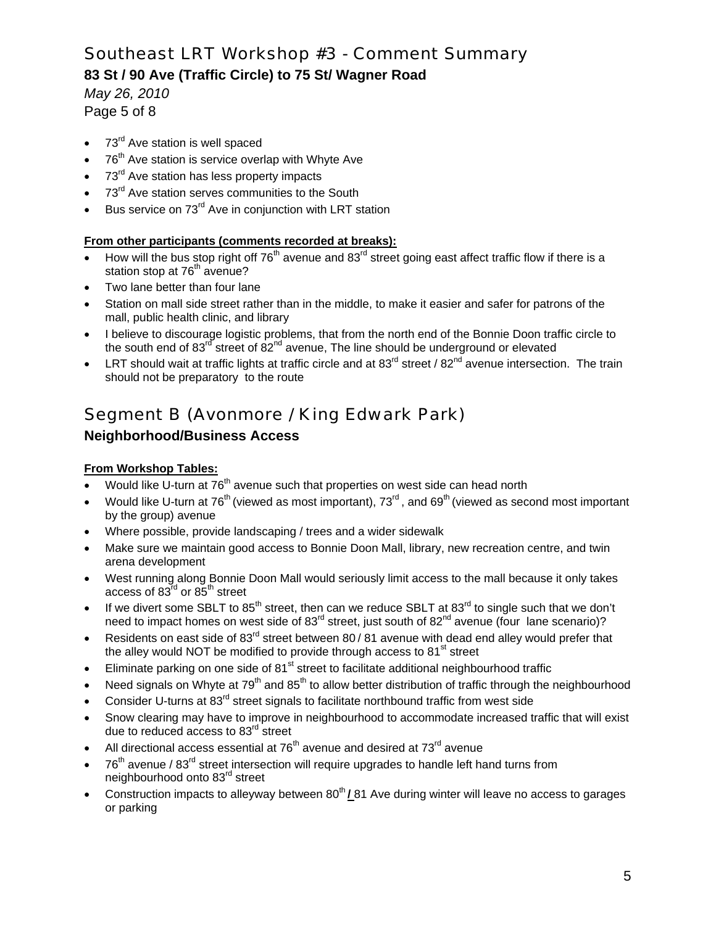## **83 St / 90 Ave (Traffic Circle) to 75 St/ Wagner Road**

*May 26, 2010*  Page 5 of 8

- 73<sup>rd</sup> Ave station is well spaced
- $76<sup>th</sup>$  Ave station is service overlap with Whyte Ave
- 73<sup>rd</sup> Ave station has less property impacts
- 73<sup>rd</sup> Ave station serves communities to the South
- Bus service on 73<sup>rd</sup> Ave in conjunction with LRT station

#### **From other participants (comments recorded at breaks):**

- How will the bus stop right off  $76<sup>th</sup>$  avenue and  $83<sup>rd</sup>$  street going east affect traffic flow if there is a station stop at 76<sup>th</sup> avenue?
- Two lane better than four lane
- Station on mall side street rather than in the middle, to make it easier and safer for patrons of the mall, public health clinic, and library
- I believe to discourage logistic problems, that from the north end of the Bonnie Doon traffic circle to the south end of  $83^{10}$  street of  $82^{nd}$  avenue, The line should be underground or elevated
- LRT should wait at traffic lights at traffic circle and at  $83^{rd}$  street /  $82^{nd}$  avenue intersection. The train should not be preparatory to the route

# Segment B (Avonmore / King Edwark Park)

## **Neighborhood/Business Access**

#### **From Workshop Tables:**

- Would like U-turn at 76<sup>th</sup> avenue such that properties on west side can head north
- Would like U-turn at 76<sup>th</sup> (viewed as most important), 73<sup>rd</sup>, and 69<sup>th</sup> (viewed as second most important by the group) avenue
- Where possible, provide landscaping / trees and a wider sidewalk
- Make sure we maintain good access to Bonnie Doon Mall, library, new recreation centre, and twin arena development
- West running along Bonnie Doon Mall would seriously limit access to the mall because it only takes access of  $83^{\text{rd}}$  or  $85^{\text{th}}$  street
- If we divert some SBLT to  $85<sup>th</sup>$  street, then can we reduce SBLT at  $83<sup>rd</sup>$  to single such that we don't need to impact homes on west side of 83<sup>rd</sup> street, just south of 82<sup>nd</sup> avenue (four lane scenario)?
- Residents on east side of 83<sup>rd</sup> street between 80 / 81 avenue with dead end alley would prefer that the alley would NOT be modified to provide through access to  $81<sup>st</sup>$  street
- Eliminate parking on one side of  $81<sup>st</sup>$  street to facilitate additional neighbourhood traffic
- Need signals on Whyte at  $79<sup>th</sup>$  and  $85<sup>th</sup>$  to allow better distribution of traffic through the neighbourhood
- Consider U-turns at 83<sup>rd</sup> street signals to facilitate northbound traffic from west side
- Snow clearing may have to improve in neighbourhood to accommodate increased traffic that will exist due to reduced access to 83<sup>rd</sup> street
- All directional access essential at  $76<sup>th</sup>$  avenue and desired at  $73<sup>rd</sup>$  avenue
- $76<sup>th</sup>$  avenue / 83<sup>rd</sup> street intersection will require upgrades to handle left hand turns from neighbourhood onto 83rd street
- Construction impacts to alleyway between 80<sup>th</sup> / 81 Ave during winter will leave no access to garages or parking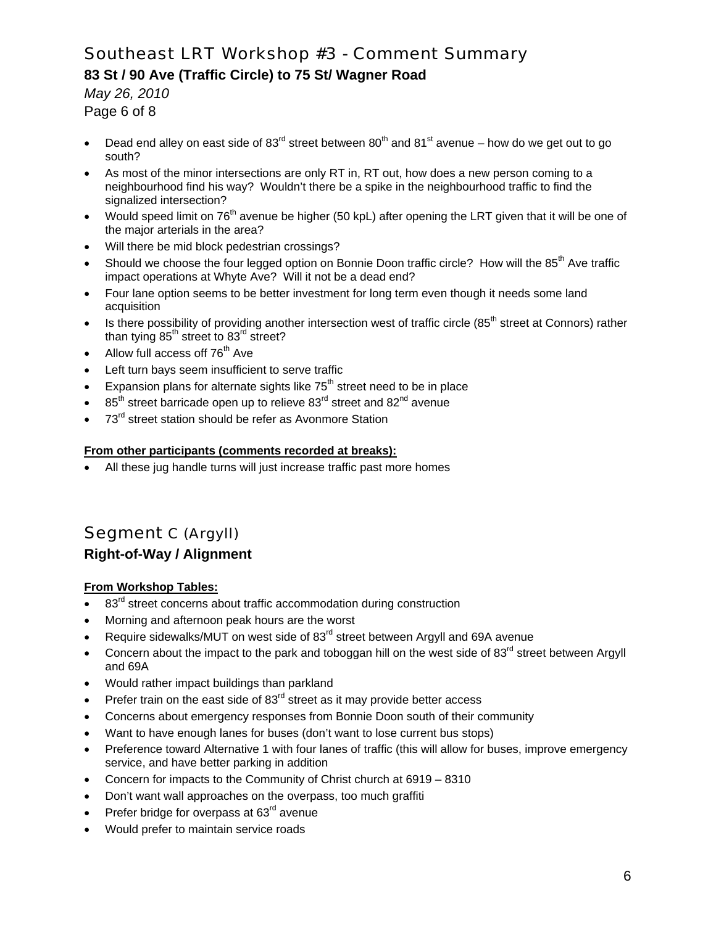## **83 St / 90 Ave (Traffic Circle) to 75 St/ Wagner Road**

*May 26, 2010* 

- Page 6 of 8
- Dead end alley on east side of  $83^{\text{rd}}$  street between  $80^{\text{th}}$  and  $81^{\text{st}}$  avenue how do we get out to go south?
- As most of the minor intersections are only RT in, RT out, how does a new person coming to a neighbourhood find his way? Wouldn't there be a spike in the neighbourhood traffic to find the signalized intersection?
- Would speed limit on 76<sup>th</sup> avenue be higher (50 kpL) after opening the LRT given that it will be one of the major arterials in the area?
- Will there be mid block pedestrian crossings?
- Should we choose the four legged option on Bonnie Doon traffic circle? How will the 85<sup>th</sup> Ave traffic impact operations at Whyte Ave? Will it not be a dead end?
- Four lane option seems to be better investment for long term even though it needs some land acquisition
- Is there possibility of providing another intersection west of traffic circle (85<sup>th</sup> street at Connors) rather than tying  $85<sup>th</sup>$  street to  $83<sup>rd</sup>$  street?
- Allow full access off  $76<sup>th</sup>$  Ave
- Left turn bays seem insufficient to serve traffic
- Expansion plans for alternate sights like  $75<sup>th</sup>$  street need to be in place
- 85<sup>th</sup> street barricade open up to relieve 83<sup>rd</sup> street and 82<sup>nd</sup> avenue
- 73<sup>rd</sup> street station should be refer as Avonmore Station

#### **From other participants (comments recorded at breaks):**

All these jug handle turns will just increase traffic past more homes

# Segment C (Argyll) **Right-of-Way / Alignment**

#### **From Workshop Tables:**

- 83<sup>rd</sup> street concerns about traffic accommodation during construction
- Morning and afternoon peak hours are the worst
- Require sidewalks/MUT on west side of 83<sup>rd</sup> street between Argyll and 69A avenue
- Concern about the impact to the park and toboggan hill on the west side of  $83<sup>rd</sup>$  street between Argyll and 69A
- Would rather impact buildings than parkland
- Prefer train on the east side of  $83<sup>rd</sup>$  street as it may provide better access
- Concerns about emergency responses from Bonnie Doon south of their community
- Want to have enough lanes for buses (don't want to lose current bus stops)
- Preference toward Alternative 1 with four lanes of traffic (this will allow for buses, improve emergency service, and have better parking in addition
- Concern for impacts to the Community of Christ church at 6919 8310
- Don't want wall approaches on the overpass, too much graffiti
- Prefer bridge for overpass at  $63<sup>rd</sup>$  avenue
- Would prefer to maintain service roads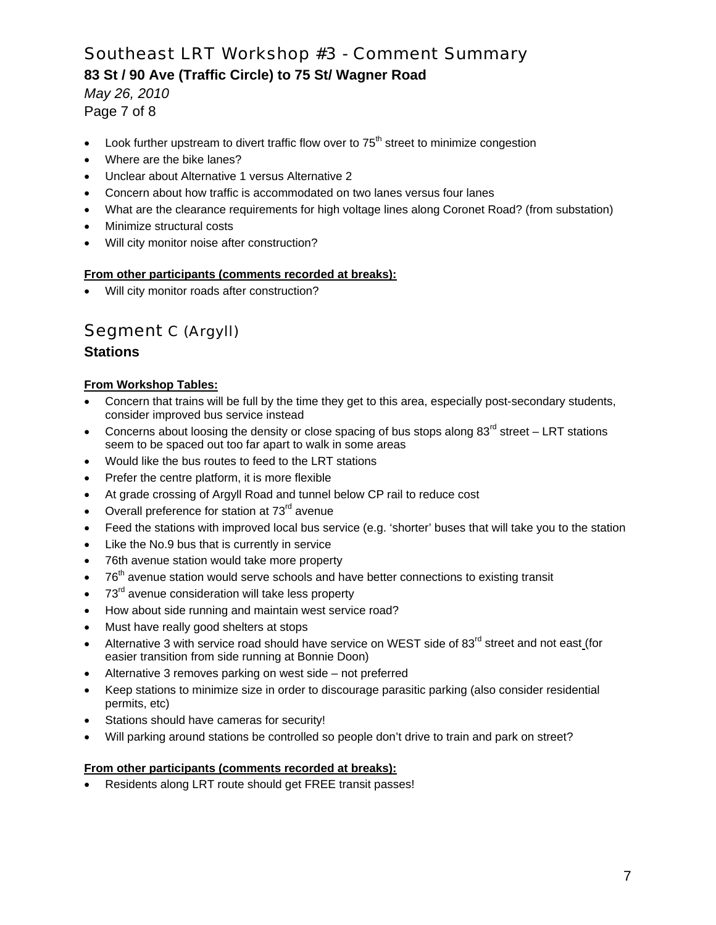## **83 St / 90 Ave (Traffic Circle) to 75 St/ Wagner Road**

*May 26, 2010*  Page 7 of 8

- Look further upstream to divert traffic flow over to  $75<sup>th</sup>$  street to minimize congestion
- Where are the bike lanes?
- Unclear about Alternative 1 versus Alternative 2
- Concern about how traffic is accommodated on two lanes versus four lanes
- What are the clearance requirements for high voltage lines along Coronet Road? (from substation)
- Minimize structural costs
- Will city monitor noise after construction?

#### **From other participants (comments recorded at breaks):**

Will city monitor roads after construction?

# Segment C (Argyll)

## **Stations**

#### **From Workshop Tables:**

- Concern that trains will be full by the time they get to this area, especially post-secondary students, consider improved bus service instead
- Concerns about loosing the density or close spacing of bus stops along  $83<sup>rd</sup>$  street LRT stations seem to be spaced out too far apart to walk in some areas
- Would like the bus routes to feed to the LRT stations
- Prefer the centre platform, it is more flexible
- At grade crossing of Argyll Road and tunnel below CP rail to reduce cost
- Overall preference for station at 73<sup>rd</sup> avenue
- Feed the stations with improved local bus service (e.g. 'shorter' buses that will take you to the station
- Like the No.9 bus that is currently in service
- 76th avenue station would take more property
- 76<sup>th</sup> avenue station would serve schools and have better connections to existing transit
- 73<sup>rd</sup> avenue consideration will take less property
- How about side running and maintain west service road?
- Must have really good shelters at stops
- Alternative 3 with service road should have service on WEST side of 83<sup>rd</sup> street and not east (for easier transition from side running at Bonnie Doon)
- Alternative 3 removes parking on west side not preferred
- Keep stations to minimize size in order to discourage parasitic parking (also consider residential permits, etc)
- Stations should have cameras for security!
- Will parking around stations be controlled so people don't drive to train and park on street?

### **From other participants (comments recorded at breaks):**

Residents along LRT route should get FREE transit passes!